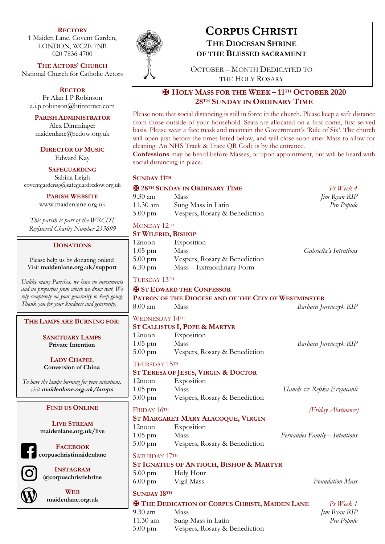#### **RECTORY**

1 Maiden Lane, Covent Garden, LONDON, WC2E 7NB 020 7836 4700

**THE ACTORS' CHURCH** National Church for Catholic Actors

**RECTOR** Fr Alan I P Robinson a.i.p.robinson@btinternet.com

**PARISH ADMINISTRATOR** Alex Dimminger maidenlane@rcdow.org.uk

**DIRECTOR OF MUSIC** Edward Kay

**SAFEGUARDING** Sabina Leigh coventgardensg@safeguardrcdow.org.uk

**PARISH WEBSITE**

www.maidenlane.org.uk

*This parish is part of the WRCDT Registered Charity Number 233699*

#### **DONATIONS**

Please help us by donating online! Visit **maidenlane.org.uk/support**

*Unlike many Parishes, we have no investments and no properties from which we draw rent. We rely completely on your generosity to keep going. Thank you for your kindness and generosity.* 

#### **THE LAMPS ARE BURNING FOR:**

**SANCTUARY LAMPS Private Intention**

**LADY CHAPEL Conversion of China**

*To have the lamps burning for your intentions, visit* **maidenlane.org.uk/lamps**

#### **FIND US ONLINE**

**LIVE STREAM maidenlane.org.uk/live**

**FACEBOOK corpuschristimaidenlane**

**INSTAGRAM @corpuschristishrine**



**WEB maidenlane.org.uk**



# **CORPUS CHRISTI THE DIOCESAN SHRINE**

**OF THE BLESSED SACRAMENT**

OCTOBER – MONTH DEDICATED TO THE HOLY ROSARY

## ✠ **HOLY MASS FOR THE WEEK – 11TH OCTOBER 2020 28TH SUNDAY IN ORDINARY TIME**

Please note that social distancing is still in force in the church. Please keep a safe distance from those outside of your household. Seats are allocated on a first come, first served basis. Please wear a face mask and maintain the Government's 'Rule of Six'. The church will open just before the times listed below, and will close soon after Mass to allow for cleaning. An NHS Track & Trace QR Code is by the entrance.

**Confessions** may be heard before Masses, or upon appointment, but will be heard with social distancing in place.

#### **SUNDAY 11TH**

#### ✠ **28TH SUNDAY IN ORDINARY TIME** *Ps Week 4* 9.30 am Mass *Jim Ryan RIP* 11.30 am Sung Mass in Latin *Pro Populo* 5.00 pm Vespers, Rosary & Benediction

## MONDAY 12TH

#### **ST WILFRID, BISHOP**

| 12noon            | Exposition                    |                        |  |
|-------------------|-------------------------------|------------------------|--|
| $1.05 \text{ pm}$ | Mass                          | Gabriella's Intentions |  |
| $5.00 \text{ pm}$ | Vespers, Rosary & Benediction |                        |  |
| $6.30 \text{ pm}$ | Mass – Extraordinary Form     |                        |  |
|                   |                               |                        |  |

#### TUESDAY 13TH

|                       | <b>H</b> ST EDWARD THE CONFESSOR<br><b>PATRON OF THE DIOCESE AND OF THE CITY OF WESTMINSTER</b> |                               |
|-----------------------|-------------------------------------------------------------------------------------------------|-------------------------------|
| $8.00 \text{ am}$     | Mass                                                                                            | Barbara Jurenczyk RIP         |
| <b>WEDNESDAY 14TH</b> |                                                                                                 |                               |
|                       | <b>ST CALLISTUS I, POPE &amp; MARTYR</b>                                                        |                               |
| $12$ noon             | Exposition                                                                                      |                               |
| $1.05$ pm             | Mass<br>5.00 pm Vespers, Rosary & Benediction                                                   | Barbara Jurenczyk RIP         |
| THURSDAY 15TH         |                                                                                                 |                               |
|                       | <b>ST TERESA OF JESUS, VIRGIN &amp; DOCTOR</b>                                                  |                               |
| $12$ noon             | Exposition                                                                                      |                               |
| $1.05$ pm             | Mass                                                                                            | Hamdi & Refika Erzincanli     |
|                       | 5.00 pm Vespers, Rosary & Benediction                                                           |                               |
| FRIDAY 16TH           |                                                                                                 | (Friday Abstinence)           |
|                       | ST MARGARET MARY ALACOQUE, VIRGIN                                                               |                               |
| 12noon                | Exposition                                                                                      |                               |
| 1.05 pm Mass          |                                                                                                 | Fernandes Family – Intentions |
|                       | 5.00 pm Vespers, Rosary & Benediction                                                           |                               |
| SATURDAY 17TH         |                                                                                                 |                               |
|                       | <b>ST IGNATIUS OF ANTIOCH, BISHOP &amp; MARTYR</b>                                              |                               |
| $5.00 \text{ pm}$     | Holy Hour                                                                                       |                               |
|                       | 6.00 pm Vigil Mass                                                                              | <b>Foundation Mass</b>        |
| <b>SUNDAY 18TH</b>    |                                                                                                 |                               |
|                       | <b>X THE DEDICATION OF CORPUS CHRISTI, MAIDEN LANE</b>                                          | $Ps$ Week $1$                 |

9.30 am Mass *Jim Ryan RIP* 11.30 am Sung Mass in Latin *Pro Populo* 5.00 pm Vespers, Rosary & Benediction